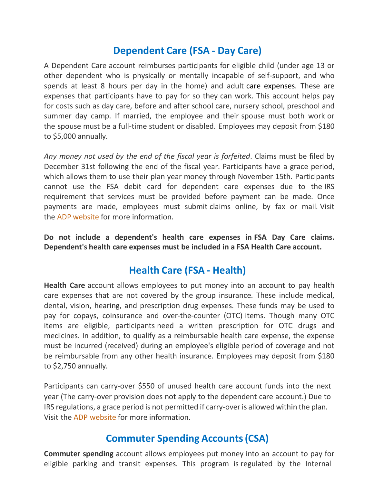## **Dependent Care (FSA - Day Care)**

A Dependent Care account reimburses participants for eligible child (under age 13 or other dependent who is physically or mentally incapable of self-support, and who spends at least 8 hours per day in the home) and adult care expenses. These are expenses that participants have to pay for so they can work. This account helps pay for costs such as day care, before and after school care, nursery school, preschool and summer day camp. If married, the employee and their spouse must both work or the spouse must be a full-time student or disabled. Employees may deposit from \$180 to \$5,000 annually.

*Any money not used by the end of the fiscal year is forfeited*. Claims must be filed by December 31st following the end of the fiscal year. Participants have a grace period, which allows them to use their plan year money through November 15th. Participants cannot use the FSA debit card for dependent care expenses due to the IRS requirement that services must be provided before payment can be made. Once payments are made, employees must submit claims online, by fax or mail. Visit the ADP [website](https://texflex.spendingaccounts.info/) for more information.

**Do not include a dependent's health care expenses in FSA Day Care claims. Dependent's health care expenses must be included in a FSA Health Care account.**

## **Health Care (FSA - Health)**

**Health Care** account allows employees to put money into an account to pay health care expenses that are not covered by the group insurance. These include medical, dental, vision, hearing, and prescription drug expenses. These funds may be used to pay for copays, coinsurance and over-the-counter (OTC) items. Though many OTC items are eligible, participants need a written prescription for OTC drugs and medicines. In addition, to qualify as a reimbursable health care expense, the expense must be incurred (received) during an employee's eligible period of coverage and not be reimbursable from any other health insurance. Employees may deposit from \$180 to \$2,750 annually.

Participants can carry-over \$550 of unused health care account funds into the next year (The carry-over provision does not apply to the dependent care account.) Due to IRS regulations, a grace period is not permitted if carry-over is allowed within the plan. Visit the ADP [website](https://texflex.spendingaccounts.info/) for more information.

## **Commuter Spending Accounts(CSA)**

**Commuter spending** account allows employees put money into an account to pay for eligible parking and transit expenses. This program is regulated by the Internal